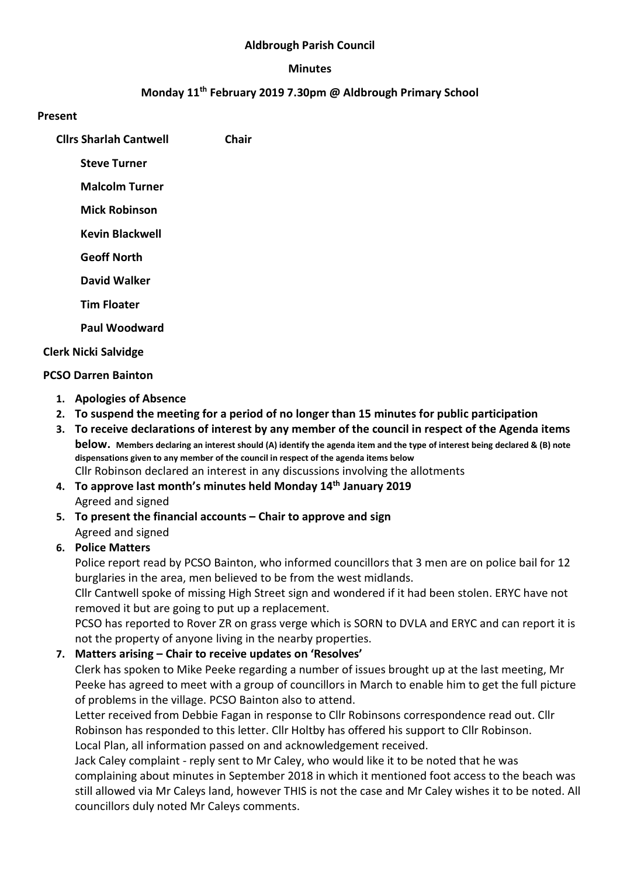#### Aldbrough Parish Council

#### Minutes

### Monday 11th February 2019 7.30pm @ Aldbrough Primary School

#### Present

Cllrs Sharlah Cantwell Chair

Steve Turner

Malcolm Turner

Mick Robinson

Kevin Blackwell

Geoff North

David Walker

Tim Floater

Paul Woodward

#### Clerk Nicki Salvidge

#### PCSO Darren Bainton

- 1. Apologies of Absence
- 2. To suspend the meeting for a period of no longer than 15 minutes for public participation
- 3. To receive declarations of interest by any member of the council in respect of the Agenda items below. Members declaring an interest should (A) identify the agenda item and the type of interest being declared & (B) note dispensations given to any member of the council in respect of the agenda items below Cllr Robinson declared an interest in any discussions involving the allotments
- 4. To approve last month's minutes held Monday 14th January 2019 Agreed and signed
- 5. To present the financial accounts Chair to approve and sign Agreed and signed

### 6. Police Matters

Police report read by PCSO Bainton, who informed councillors that 3 men are on police bail for 12 burglaries in the area, men believed to be from the west midlands.

Cllr Cantwell spoke of missing High Street sign and wondered if it had been stolen. ERYC have not removed it but are going to put up a replacement.

PCSO has reported to Rover ZR on grass verge which is SORN to DVLA and ERYC and can report it is not the property of anyone living in the nearby properties.

### 7. Matters arising – Chair to receive updates on 'Resolves'

Clerk has spoken to Mike Peeke regarding a number of issues brought up at the last meeting, Mr Peeke has agreed to meet with a group of councillors in March to enable him to get the full picture of problems in the village. PCSO Bainton also to attend.

Letter received from Debbie Fagan in response to Cllr Robinsons correspondence read out. Cllr Robinson has responded to this letter. Cllr Holtby has offered his support to Cllr Robinson. Local Plan, all information passed on and acknowledgement received.

Jack Caley complaint - reply sent to Mr Caley, who would like it to be noted that he was complaining about minutes in September 2018 in which it mentioned foot access to the beach was still allowed via Mr Caleys land, however THIS is not the case and Mr Caley wishes it to be noted. All councillors duly noted Mr Caleys comments.